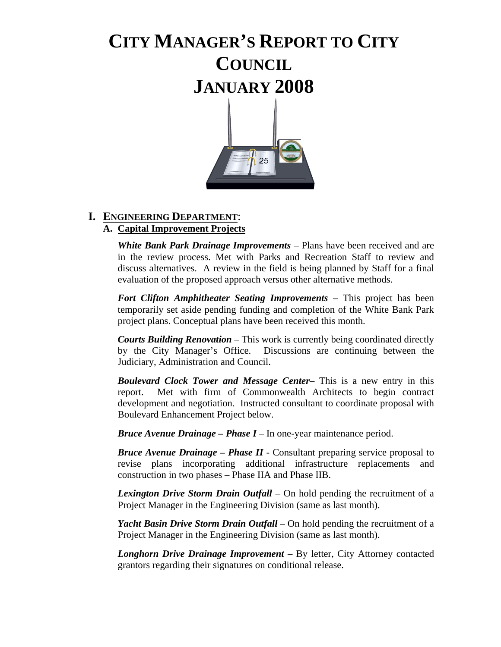# **CITY MANAGER'S REPORT TO CITY COUNCIL JANUARY 2008**



# **I. ENGINEERING DEPARTMENT**:

# **A. Capital Improvement Projects**

*White Bank Park Drainage Improvements* – Plans have been received and are in the review process. Met with Parks and Recreation Staff to review and discuss alternatives. A review in the field is being planned by Staff for a final evaluation of the proposed approach versus other alternative methods.

*Fort Clifton Amphitheater Seating Improvements* – This project has been temporarily set aside pending funding and completion of the White Bank Park project plans. Conceptual plans have been received this month.

*Courts Building Renovation* – This work is currently being coordinated directly by the City Manager's Office. Discussions are continuing between the Judiciary, Administration and Council.

*Boulevard Clock Tower and Message Center*– This is a new entry in this report. Met with firm of Commonwealth Architects to begin contract development and negotiation. Instructed consultant to coordinate proposal with Boulevard Enhancement Project below.

*Bruce Avenue Drainage – Phase I* – In one-year maintenance period.

*Bruce Avenue Drainage – Phase II* - Consultant preparing service proposal to revise plans incorporating additional infrastructure replacements and construction in two phases – Phase IIA and Phase IIB.

*Lexington Drive Storm Drain Outfall* – On hold pending the recruitment of a Project Manager in the Engineering Division (same as last month).

*Yacht Basin Drive Storm Drain Outfall* – On hold pending the recruitment of a Project Manager in the Engineering Division (same as last month).

*Longhorn Drive Drainage Improvement* – By letter, City Attorney contacted grantors regarding their signatures on conditional release.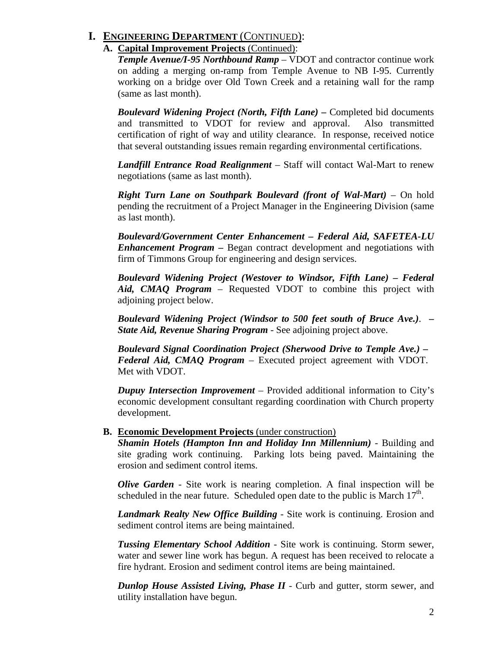# **I. ENGINEERING DEPARTMENT** (CONTINUED):

### **A. Capital Improvement Projects** (Continued):

*Temple Avenue/I-95 Northbound Ramp* – VDOT and contractor continue work on adding a merging on-ramp from Temple Avenue to NB I-95. Currently working on a bridge over Old Town Creek and a retaining wall for the ramp (same as last month).

*Boulevard Widening Project (North, Fifth Lane) – Completed bid documents* and transmitted to VDOT for review and approval. Also transmitted certification of right of way and utility clearance. In response, received notice that several outstanding issues remain regarding environmental certifications.

*Landfill Entrance Road Realignment* – Staff will contact Wal-Mart to renew negotiations (same as last month).

*Right Turn Lane on Southpark Boulevard (front of Wal-Mart)* – On hold pending the recruitment of a Project Manager in the Engineering Division (same as last month).

*Boulevard/Government Center Enhancement – Federal Aid, SAFETEA-LU Enhancement Program –* Began contract development and negotiations with firm of Timmons Group for engineering and design services.

*Boulevard Widening Project (Westover to Windsor, Fifth Lane) – Federal Aid, CMAQ Program* – Requested VDOT to combine this project with adjoining project below.

*Boulevard Widening Project (Windsor to 500 feet south of Bruce Ave.)*. *– State Aid, Revenue Sharing Program* - See adjoining project above.

*Boulevard Signal Coordination Project (Sherwood Drive to Temple Ave.) – Federal Aid, CMAQ Program* – Executed project agreement with VDOT. Met with VDOT.

*Dupuy Intersection Improvement* – Provided additional information to City's economic development consultant regarding coordination with Church property development.

### **B. Economic Development Projects** (under construction)

*Shamin Hotels (Hampton Inn and Holiday Inn Millennium)* - Building and site grading work continuing. Parking lots being paved. Maintaining the erosion and sediment control items.

*Olive Garden* - Site work is nearing completion. A final inspection will be scheduled in the near future. Scheduled open date to the public is March  $17<sup>th</sup>$ .

*Landmark Realty New Office Building* - Site work is continuing. Erosion and sediment control items are being maintained.

*Tussing Elementary School Addition* - Site work is continuing. Storm sewer, water and sewer line work has begun. A request has been received to relocate a fire hydrant. Erosion and sediment control items are being maintained.

*Dunlop House Assisted Living, Phase II* - Curb and gutter, storm sewer, and utility installation have begun.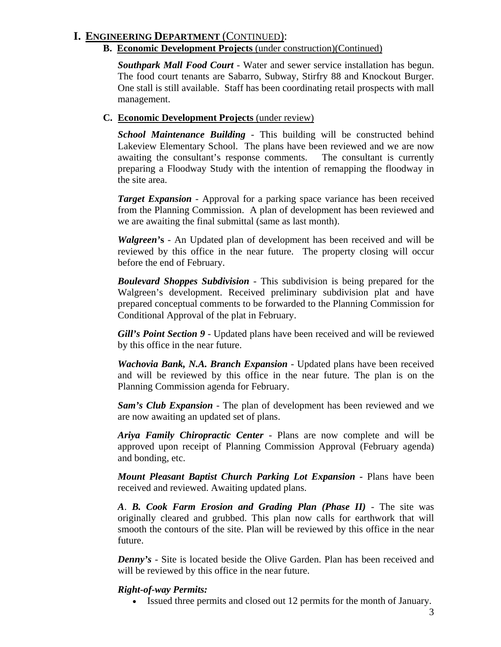# **I. ENGINEERING DEPARTMENT** (CONTINUED):

### **B. Economic Development Projects** (under construction)(Continued)

*Southpark Mall Food Court -* Water and sewer service installation has begun. The food court tenants are Sabarro, Subway, Stirfry 88 and Knockout Burger. One stall is still available. Staff has been coordinating retail prospects with mall management.

### **C. Economic Development Projects** (under review)

*School Maintenance Building* - This building will be constructed behind Lakeview Elementary School. The plans have been reviewed and we are now awaiting the consultant's response comments. The consultant is currently preparing a Floodway Study with the intention of remapping the floodway in the site area.

*Target Expansion* - Approval for a parking space variance has been received from the Planning Commission. A plan of development has been reviewed and we are awaiting the final submittal (same as last month).

*Walgreen'***s** - An Updated plan of development has been received and will be reviewed by this office in the near future. The property closing will occur before the end of February.

*Boulevard Shoppes Subdivision* - This subdivision is being prepared for the Walgreen's development. Received preliminary subdivision plat and have prepared conceptual comments to be forwarded to the Planning Commission for Conditional Approval of the plat in February.

*Gill's Point Section 9* - Updated plans have been received and will be reviewed by this office in the near future.

*Wachovia Bank, N.A. Branch Expansion* - Updated plans have been received and will be reviewed by this office in the near future. The plan is on the Planning Commission agenda for February.

*Sam's Club Expansion* - The plan of development has been reviewed and we are now awaiting an updated set of plans.

*Ariya Family Chiropractic Center* - Plans are now complete and will be approved upon receipt of Planning Commission Approval (February agenda) and bonding, etc.

*Mount Pleasant Baptist Church Parking Lot Expansion -* Plans have been received and reviewed. Awaiting updated plans.

*A*. *B. Cook Farm Erosion and Grading Plan (Phase II)* - The site was originally cleared and grubbed. This plan now calls for earthwork that will smooth the contours of the site. Plan will be reviewed by this office in the near future.

*Denny's* - Site is located beside the Olive Garden. Plan has been received and will be reviewed by this office in the near future.

# *Right-of-way Permits:*

• Issued three permits and closed out 12 permits for the month of January.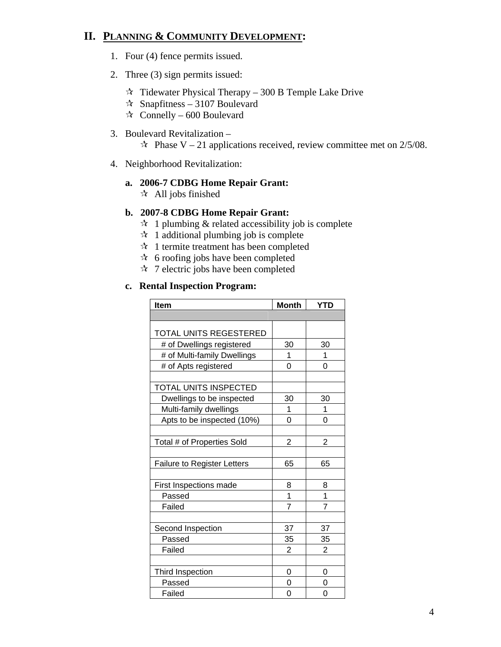# **II. PLANNING & COMMUNITY DEVELOPMENT:**

- 1. Four (4) fence permits issued.
- 2. Three (3) sign permits issued:
	- $\approx$  Tidewater Physical Therapy 300 B Temple Lake Drive
	- $\approx$  Snapfitness 3107 Boulevard
	- $\star$  Connelly 600 Boulevard

#### 3. Boulevard Revitalization –

 $\approx$  Phase V – 21 applications received, review committee met on 2/5/08.

4. Neighborhood Revitalization:

# **a. 2006-7 CDBG Home Repair Grant:**

 $\star$  All jobs finished

### **b. 2007-8 CDBG Home Repair Grant:**

- $\mathcal{A}$  1 plumbing & related accessibility job is complete
- $\approx$  1 additional plumbing job is complete
- $\mathcal{A}$  1 termite treatment has been completed
- $\star$  6 roofing jobs have been completed
- $\sqrt[4]{2}$  7 electric jobs have been completed

### **c. Rental Inspection Program:**

| Item                               | <b>Month</b>   | <b>YTD</b>     |
|------------------------------------|----------------|----------------|
|                                    |                |                |
| TOTAL UNITS REGESTERED             |                |                |
|                                    |                |                |
| # of Dwellings registered          | 30             | 30             |
| # of Multi-family Dwellings        | 1              | 1              |
| # of Apts registered               | 0              | 0              |
|                                    |                |                |
| TOTAL UNITS INSPECTED              |                |                |
| Dwellings to be inspected          | 30             | 30             |
| Multi-family dwellings             | 1              | 1              |
| Apts to be inspected (10%)         | 0              | 0              |
|                                    |                |                |
| Total # of Properties Sold         | 2              | $\overline{2}$ |
|                                    |                |                |
| <b>Failure to Register Letters</b> | 65             | 65             |
|                                    |                |                |
| First Inspections made             | 8              | 8              |
| Passed                             | $\overline{1}$ | 1              |
| Failed                             | $\overline{7}$ | 7              |
|                                    |                |                |
| Second Inspection                  | 37             | 37             |
| Passed                             | 35             | 35             |
| Failed                             | 2              | 2              |
|                                    |                |                |
| Third Inspection                   | 0              | 0              |
| Passed                             | 0              | 0              |
| Failed                             | 0              | 0              |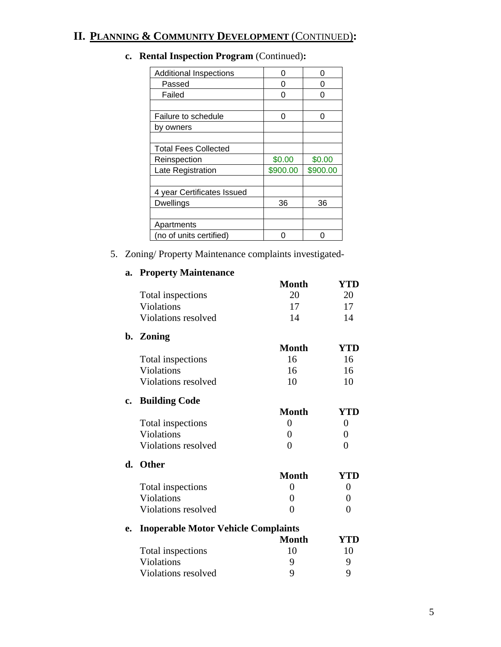# **II. PLANNING & COMMUNITY DEVELOPMENT** (CONTINUED)**:**

| <b>Additional Inspections</b> | O        | 0        |
|-------------------------------|----------|----------|
| Passed                        | ი        | 0        |
| Failed                        | O        | Ω        |
|                               |          |          |
| Failure to schedule           | O        | Ω        |
| by owners                     |          |          |
|                               |          |          |
| <b>Total Fees Collected</b>   |          |          |
| Reinspection                  | \$0.00   | \$0.00   |
| Late Registration             | \$900.00 | \$900.00 |
|                               |          |          |
| 4 year Certificates Issued    |          |          |
| <b>Dwellings</b>              | 36       | 36       |
|                               |          |          |
| Apartments                    |          |          |
| (no of units certified)       |          |          |
|                               |          |          |

# **c. Rental Inspection Program** (Continued)**:**

5. Zoning/ Property Maintenance complaints investigated-

# **a. Property Maintenance**

|               |                                            | <b>Month</b>   | <b>YTD</b>       |
|---------------|--------------------------------------------|----------------|------------------|
|               | Total inspections                          | 20             | 20               |
|               | <b>Violations</b>                          | 17             | 17               |
|               | Violations resolved                        | 14             | 14               |
|               | b. Zoning                                  |                |                  |
|               |                                            | <b>Month</b>   | <b>YTD</b>       |
|               | Total inspections                          | 16             | 16               |
|               | Violations                                 | 16             | 16               |
|               | Violations resolved                        | 10             | 10               |
| $c_{\bullet}$ | <b>Building Code</b>                       |                |                  |
|               |                                            | <b>Month</b>   | <b>YTD</b>       |
|               | Total inspections                          | $\overline{0}$ | $\overline{0}$   |
|               | <b>Violations</b>                          | 0              | 0                |
|               | Violations resolved                        | 0              | $\overline{0}$   |
| d.            | <b>Other</b>                               |                |                  |
|               |                                            | <b>Month</b>   | YTD              |
|               | Total inspections                          | $\overline{0}$ | 0                |
|               | <b>Violations</b>                          | 0              | $\boldsymbol{0}$ |
|               | Violations resolved                        | $\overline{0}$ | 0                |
| e.            | <b>Inoperable Motor Vehicle Complaints</b> |                |                  |
|               |                                            | <b>Month</b>   | YTD              |
|               | Total inspections                          | 10             | 10               |
|               | Violations                                 | 9              | 9                |
|               | Violations resolved                        | 9              | 9                |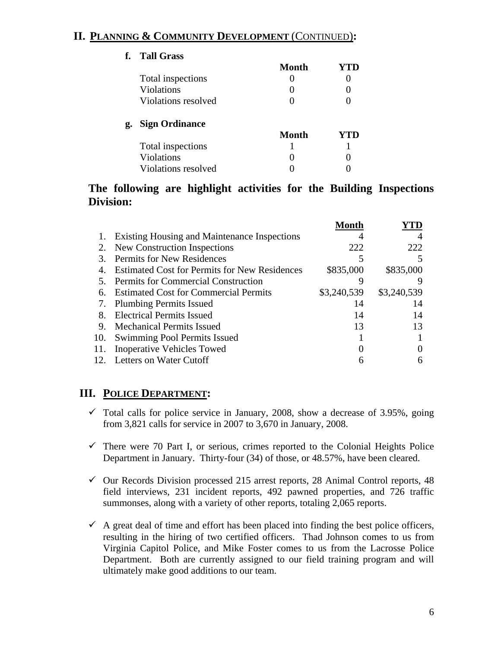# **II. PLANNING & COMMUNITY DEVELOPMENT** (CONTINUED)**:**

| f. | <b>Tall Grass</b>     |              |     |
|----|-----------------------|--------------|-----|
|    |                       | Month        | YTD |
|    | Total inspections     |              |     |
|    | <b>Violations</b>     |              |     |
|    | Violations resolved   |              |     |
| g. | <b>Sign Ordinance</b> |              |     |
|    |                       | <b>Month</b> | YTD |
|    | Total inspections     |              |     |
|    | Violations            |              |     |
|    | Violations resolved   |              |     |
|    |                       |              |     |

# **The following are highlight activities for the Building Inspections Division:**

|     |                                                      | Month       |             |
|-----|------------------------------------------------------|-------------|-------------|
|     | Existing Housing and Maintenance Inspections         |             |             |
| 2.  | New Construction Inspections                         | 222         | 222         |
| 3.  | <b>Permits for New Residences</b>                    |             |             |
| 4.  | <b>Estimated Cost for Permits for New Residences</b> | \$835,000   | \$835,000   |
| .5  | <b>Permits for Commercial Construction</b>           |             |             |
| 6.  | <b>Estimated Cost for Commercial Permits</b>         | \$3,240,539 | \$3,240,539 |
| 7.  | <b>Plumbing Permits Issued</b>                       | 14          | 14          |
| 8.  | <b>Electrical Permits Issued</b>                     | 14          | 14          |
| 9.  | <b>Mechanical Permits Issued</b>                     | 13          | 13          |
| 10. | Swimming Pool Permits Issued                         |             |             |
| 11. | <b>Inoperative Vehicles Towed</b>                    |             |             |
|     | 12. Letters on Water Cutoff                          | 6           |             |
|     |                                                      |             |             |

# **III. POLICE DEPARTMENT:**

- $\checkmark$  Total calls for police service in January, 2008, show a decrease of 3.95%, going from 3,821 calls for service in 2007 to 3,670 in January, 2008.
- $\checkmark$  There were 70 Part I, or serious, crimes reported to the Colonial Heights Police Department in January. Thirty-four (34) of those, or 48.57%, have been cleared.
- $\checkmark$  Our Records Division processed 215 arrest reports, 28 Animal Control reports, 48 field interviews, 231 incident reports, 492 pawned properties, and 726 traffic summonses, along with a variety of other reports, totaling 2,065 reports.
- $\checkmark$  A great deal of time and effort has been placed into finding the best police officers, resulting in the hiring of two certified officers. Thad Johnson comes to us from Virginia Capitol Police, and Mike Foster comes to us from the Lacrosse Police Department. Both are currently assigned to our field training program and will ultimately make good additions to our team.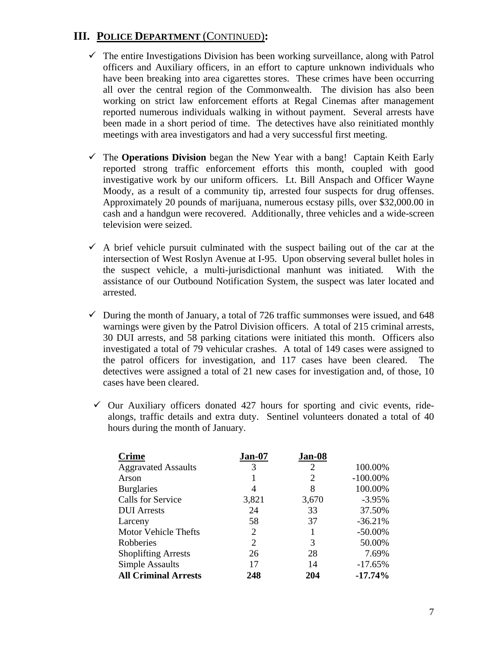# **III. POLICE DEPARTMENT** (CONTINUED)**:**

- $\checkmark$  The entire Investigations Division has been working surveillance, along with Patrol officers and Auxiliary officers, in an effort to capture unknown individuals who have been breaking into area cigarettes stores. These crimes have been occurring all over the central region of the Commonwealth. The division has also been working on strict law enforcement efforts at Regal Cinemas after management reported numerous individuals walking in without payment. Several arrests have been made in a short period of time. The detectives have also reinitiated monthly meetings with area investigators and had a very successful first meeting.
- $\checkmark$  The **Operations Division** began the New Year with a bang! Captain Keith Early reported strong traffic enforcement efforts this month, coupled with good investigative work by our uniform officers. Lt. Bill Anspach and Officer Wayne Moody, as a result of a community tip, arrested four suspects for drug offenses. Approximately 20 pounds of marijuana, numerous ecstasy pills, over \$32,000.00 in cash and a handgun were recovered. Additionally, three vehicles and a wide-screen television were seized.
- $\checkmark$  A brief vehicle pursuit culminated with the suspect bailing out of the car at the intersection of West Roslyn Avenue at I-95. Upon observing several bullet holes in the suspect vehicle, a multi-jurisdictional manhunt was initiated. With the assistance of our Outbound Notification System, the suspect was later located and arrested.
- $\checkmark$  During the month of January, a total of 726 traffic summonses were issued, and 648 warnings were given by the Patrol Division officers. A total of 215 criminal arrests, 30 DUI arrests, and 58 parking citations were initiated this month. Officers also investigated a total of 79 vehicular crashes. A total of 149 cases were assigned to the patrol officers for investigation, and 117 cases have been cleared. The detectives were assigned a total of 21 new cases for investigation and, of those, 10 cases have been cleared.
- $\checkmark$  Our Auxiliary officers donated 427 hours for sporting and civic events, ridealongs, traffic details and extra duty. Sentinel volunteers donated a total of 40 hours during the month of January.

| <b>Crime</b>                | Jan-07                      | Jan-08 |             |
|-----------------------------|-----------------------------|--------|-------------|
| <b>Aggravated Assaults</b>  | 3                           | 2      | 100.00%     |
| Arson                       |                             | 2      | $-100.00\%$ |
| <b>Burglaries</b>           | 4                           | 8      | 100.00%     |
| Calls for Service           | 3,821                       | 3,670  | $-3.95%$    |
| <b>DUI</b> Arrests          | 24                          | 33     | 37.50%      |
| Larceny                     | 58                          | 37     | $-36.21%$   |
| <b>Motor Vehicle Thefts</b> | $\overline{c}$              |        | $-50.00\%$  |
| Robberies                   | $\mathcal{D}_{\mathcal{L}}$ | 3      | 50.00%      |
| <b>Shoplifting Arrests</b>  | 26                          | 28     | 7.69%       |
| <b>Simple Assaults</b>      | 17                          | 14     | $-17.65%$   |
| <b>All Criminal Arrests</b> | 248                         | 204    | $-17.74%$   |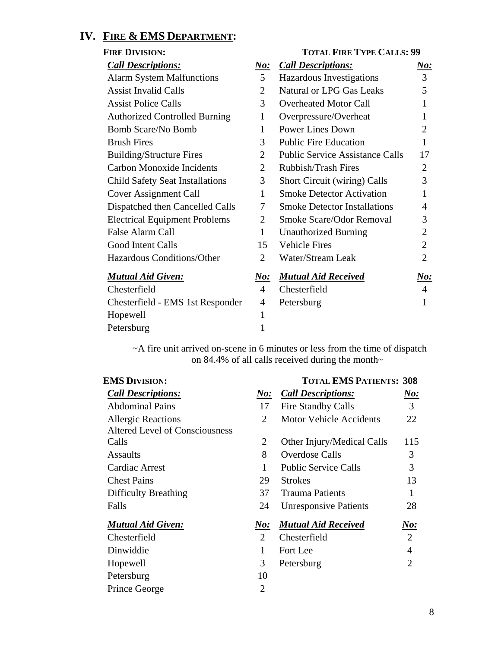# **IV. FIRE & EMS DEPARTMENT:**

| <b>FIRE DIVISION:</b>                  |                | <b>TOTAL FIRE TYPE CALLS: 99</b>       |                |
|----------------------------------------|----------------|----------------------------------------|----------------|
| <b>Call Descriptions:</b>              | <u>No:</u>     | <b>Call Descriptions:</b>              | <u>No:</u>     |
| <b>Alarm System Malfunctions</b>       | 5              | Hazardous Investigations               | $\overline{3}$ |
| <b>Assist Invalid Calls</b>            | 2              | <b>Natural or LPG Gas Leaks</b>        | 5              |
| <b>Assist Police Calls</b>             | 3              | <b>Overheated Motor Call</b>           | 1              |
| <b>Authorized Controlled Burning</b>   | 1              | Overpressure/Overheat                  | 1              |
| Bomb Scare/No Bomb                     | 1              | <b>Power Lines Down</b>                | $\overline{2}$ |
| <b>Brush Fires</b>                     | 3              | <b>Public Fire Education</b>           | 1              |
| <b>Building/Structure Fires</b>        | 2              | <b>Public Service Assistance Calls</b> | 17             |
| <b>Carbon Monoxide Incidents</b>       | $\overline{2}$ | Rubbish/Trash Fires                    | $\overline{2}$ |
| <b>Child Safety Seat Installations</b> | 3              | <b>Short Circuit (wiring) Calls</b>    | 3              |
| Cover Assignment Call                  | 1              | <b>Smoke Detector Activation</b>       | 1              |
| Dispatched then Cancelled Calls        | 7              | <b>Smoke Detector Installations</b>    | 4              |
| <b>Electrical Equipment Problems</b>   | 2              | Smoke Scare/Odor Removal               | 3              |
| False Alarm Call                       | $\mathbf{1}$   | <b>Unauthorized Burning</b>            | $\overline{2}$ |
| Good Intent Calls                      | 15             | <b>Vehicle Fires</b>                   | $\overline{2}$ |
| Hazardous Conditions/Other             | $\overline{2}$ | <b>Water/Stream Leak</b>               | $\overline{2}$ |
| <b>Mutual Aid Given:</b>               | <u>No:</u>     | <b>Mutual Aid Received</b>             | $\bm{No:}$     |
| Chesterfield                           | 4              | Chesterfield                           | 4              |
| Chesterfield - EMS 1st Responder       | 4              | Petersburg                             |                |
| Hopewell                               | 1              |                                        |                |
| Petersburg                             | 1              |                                        |                |

~A fire unit arrived on-scene in 6 minutes or less from the time of dispatch on 84.4% of all calls received during the month~

| <b>EMS DIVISION:</b>           |                | <b>TOTAL EMS PATIENTS: 308</b> |                |
|--------------------------------|----------------|--------------------------------|----------------|
| <b>Call Descriptions:</b>      | N o:           | <b>Call Descriptions:</b>      | N o:           |
| <b>Abdominal Pains</b>         | 17             | <b>Fire Standby Calls</b>      | 3              |
| <b>Allergic Reactions</b>      | 2              | <b>Motor Vehicle Accidents</b> | 22             |
| Altered Level of Consciousness |                |                                |                |
| Calls                          | 2              | Other Injury/Medical Calls     | 115            |
| <b>Assaults</b>                | 8              | Overdose Calls                 | 3              |
| Cardiac Arrest                 |                | <b>Public Service Calls</b>    | 3              |
| <b>Chest Pains</b>             | 29             | <b>Strokes</b>                 | 13             |
| <b>Difficulty Breathing</b>    | 37             | <b>Trauma Patients</b>         | 1              |
| Falls                          | 24             | <b>Unresponsive Patients</b>   | 28             |
| <b>Mutual Aid Given:</b>       | $\bm{No:}$     | <b>Mutual Aid Received</b>     | <u>No:</u>     |
| Chesterfield                   | 2              | Chesterfield                   | $\overline{2}$ |
| Dinwiddie                      | 1              | Fort Lee                       | $\overline{4}$ |
| Hopewell                       | 3              | Petersburg                     | $\overline{2}$ |
| Petersburg                     | 10             |                                |                |
| Prince George                  | $\overline{2}$ |                                |                |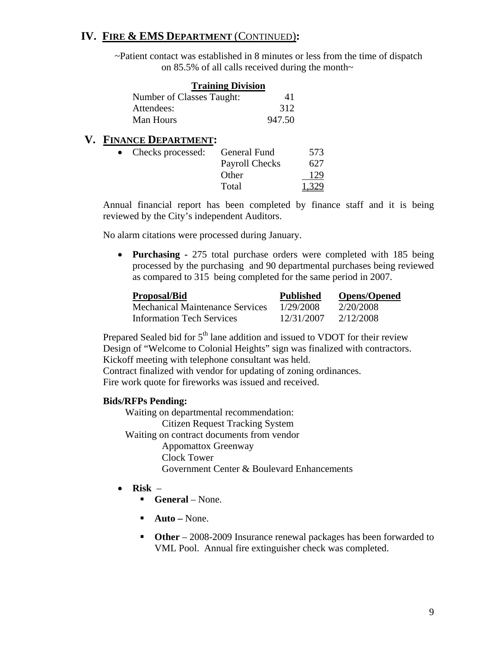# **IV. FIRE & EMS DEPARTMENT** (CONTINUED)**:**

~Patient contact was established in 8 minutes or less from the time of dispatch on 85.5% of all calls received during the month~

| <b>Training Division</b>  |        |
|---------------------------|--------|
| Number of Classes Taught: | 41     |
| Attendees:                | 312    |
| Man Hours                 | 947.50 |

### **V. FINANCE DEPARTMENT:**

| Checks processed: | General Fund          | 573   |
|-------------------|-----------------------|-------|
|                   | <b>Payroll Checks</b> | 627   |
|                   | Other                 | 129   |
|                   | Total                 | 1,329 |

Annual financial report has been completed by finance staff and it is being reviewed by the City's independent Auditors.

No alarm citations were processed during January.

• **Purchasing -** 275 total purchase orders were completed with 185 being processed by the purchasing and 90 departmental purchases being reviewed as compared to 315 being completed for the same period in 2007.

| <b>Proposal/Bid</b>                    | <b>Published</b> | <b>Opens/Opened</b> |
|----------------------------------------|------------------|---------------------|
| <b>Mechanical Maintenance Services</b> | 1/29/2008        | 2/20/2008           |
| <b>Information Tech Services</b>       | 12/31/2007       | 2/12/2008           |

Prepared Sealed bid for  $5<sup>th</sup>$  lane addition and issued to VDOT for their review Design of "Welcome to Colonial Heights" sign was finalized with contractors. Kickoff meeting with telephone consultant was held.

Contract finalized with vendor for updating of zoning ordinances. Fire work quote for fireworks was issued and received.

### **Bids/RFPs Pending:**

Waiting on departmental recommendation: Citizen Request Tracking System Waiting on contract documents from vendor Appomattox Greenway Clock Tower Government Center & Boulevard Enhancements

- **Risk** 
	- **General** None.
	- **Auto** None.
	- **Other** 2008-2009 Insurance renewal packages has been forwarded to VML Pool. Annual fire extinguisher check was completed.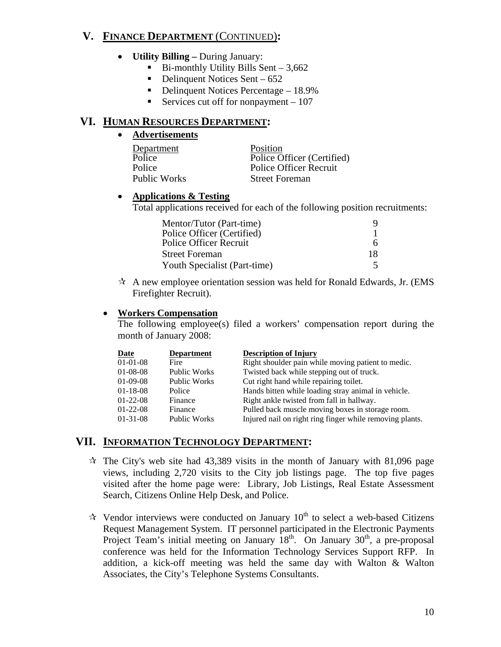# **V. FINANCE DEPARTMENT** (CONTINUED)**:**

- **Utility Billing** During January:
	- $\blacksquare$  Bi-monthly Utility Bills Sent 3,662
	- $\blacksquare$  Delinquent Notices Sent 652
	- Delinquent Notices Percentage  $-18.9\%$
	- Services cut off for nonpayment  $-107$

### **VI. HUMAN RESOURCES DEPARTMENT:**

### • **Advertisements**

| Department          | Position                      |
|---------------------|-------------------------------|
| Police              | Police Officer (Certified)    |
| Police              | <b>Police Officer Recruit</b> |
| <b>Public Works</b> | <b>Street Foreman</b>         |

#### • **Applications & Testing**

Total applications received for each of the following position recruitments:

| Mentor/Tutor (Part-time)     |    |
|------------------------------|----|
| Police Officer (Certified)   |    |
| Police Officer Recruit       |    |
| <b>Street Foreman</b>        | 18 |
| Youth Specialist (Part-time) |    |

 $\mathcal{A}$  A new employee orientation session was held for Ronald Edwards, Jr. (EMS) Firefighter Recruit).

### • **Workers Compensation**

The following employee(s) filed a workers' compensation report during the month of January 2008:

| <b>Date</b>    | <b>Department</b>   | <b>Description of Injury</b>                             |
|----------------|---------------------|----------------------------------------------------------|
| $01-01-08$     | Fire                | Right shoulder pain while moving patient to medic.       |
| $01-08-08$     | <b>Public Works</b> | Twisted back while stepping out of truck.                |
| $01-09-08$     | <b>Public Works</b> | Cut right hand while repairing toilet.                   |
| $01 - 18 - 08$ | Police              | Hands bitten while loading stray animal in vehicle.      |
| $01 - 22 - 08$ | Finance             | Right ankle twisted from fall in hallway.                |
| $01-22-08$     | Finance             | Pulled back muscle moving boxes in storage room.         |
| $01-31-08$     | <b>Public Works</b> | Injured nail on right ring finger while removing plants. |

# **VII. INFORMATION TECHNOLOGY DEPARTMENT:**

- $\dot{\mathbf{x}}$  The City's web site had 43,389 visits in the month of January with 81,096 page views, including 2,720 visits to the City job listings page. The top five pages visited after the home page were: Library, Job Listings, Real Estate Assessment Search, Citizens Online Help Desk, and Police.
- $\lambda$  Vendor interviews were conducted on January 10<sup>th</sup> to select a web-based Citizens Request Management System. IT personnel participated in the Electronic Payments Project Team's initial meeting on January  $18<sup>th</sup>$ . On January  $30<sup>th</sup>$ , a pre-proposal conference was held for the Information Technology Services Support RFP. In addition, a kick-off meeting was held the same day with Walton & Walton Associates, the City's Telephone Systems Consultants.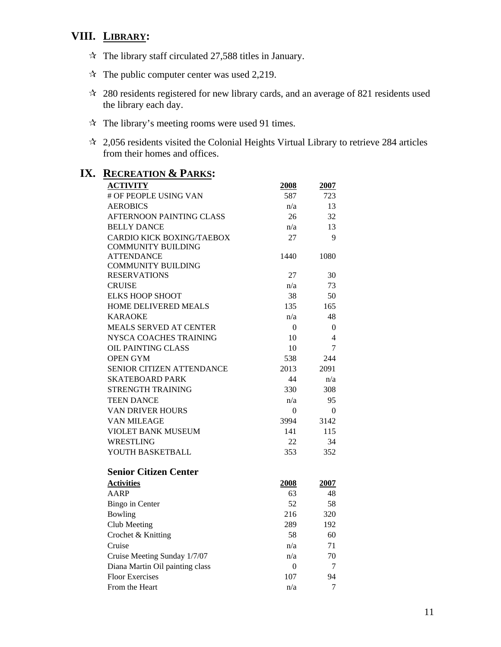# **VIII. LIBRARY:**

- $\approx$  The library staff circulated 27,588 titles in January.
- $\approx$  The public computer center was used 2,219.
- 280 residents registered for new library cards, and an average of 821 residents used the library each day.
- $\hat{x}$  The library's meeting rooms were used 91 times.
- 2,056 residents visited the Colonial Heights Virtual Library to retrieve 284 articles from their homes and offices.

| <u>KECKEATION &amp; PARKS</u>    |      |          |
|----------------------------------|------|----------|
| <b>ACTIVITY</b>                  | 2008 | 2007     |
| # OF PEOPLE USING VAN            | 587  | 723      |
| <b>AEROBICS</b>                  | n/a  | 13       |
| AFTERNOON PAINTING CLASS         | 26   | 32       |
| <b>BELLY DANCE</b>               | n/a  | 13       |
| <b>CARDIO KICK BOXING/TAEBOX</b> | 27   | 9        |
| <b>COMMUNITY BUILDING</b>        |      |          |
| <b>ATTENDANCE</b>                | 1440 | 1080     |
| <b>COMMUNITY BUILDING</b>        |      |          |
| <b>RESERVATIONS</b>              | 27   | 30       |
| <b>CRUISE</b>                    | n/a  | 73       |
| <b>ELKS HOOP SHOOT</b>           | 38   | 50       |
| <b>HOME DELIVERED MEALS</b>      | 135  | 165      |
| <b>KARAOKE</b>                   | n/a  | 48       |
| <b>MEALS SERVED AT CENTER</b>    | 0    | $\theta$ |
| NYSCA COACHES TRAINING           | 10   | 4        |
| <b>OIL PAINTING CLASS</b>        | 10   | 7        |
| <b>OPEN GYM</b>                  | 538  | 244      |
| SENIOR CITIZEN ATTENDANCE        | 2013 | 2091     |
| <b>SKATEBOARD PARK</b>           | 44   | n/a      |
| STRENGTH TRAINING                | 330  | 308      |
| <b>TEEN DANCE</b>                | n/a  | 95       |
| <b>VAN DRIVER HOURS</b>          | 0    | $\Omega$ |
| VAN MILEAGE                      | 3994 | 3142     |
| <b>VIOLET BANK MUSEUM</b>        | 141  | 115      |
| <b>WRESTLING</b>                 | 22   | 34       |
| YOUTH BASKETBALL                 | 353  | 352      |
| <b>Senior Citizen Center</b>     |      |          |
| <b>Activities</b>                | 2008 | 2007     |
| <b>AARP</b>                      | 63   | 48       |
| <b>Bingo</b> in Center           | 52   | 58       |
| Bowling                          | 216  | 320      |
| Club Meeting                     | 289  | 192      |
| Crochet & Knitting               | 58   | 60       |
| Cruise                           | n/a  | 71       |
| Cruise Meeting Sunday 1/7/07     | n/a  | 70       |
| Diana Martin Oil painting class  | 0    | 7        |
| <b>Floor Exercises</b>           | 107  | 94       |
| From the Heart                   | n/a  | 7        |
|                                  |      |          |

# **IX. RECREATION & PARKS:**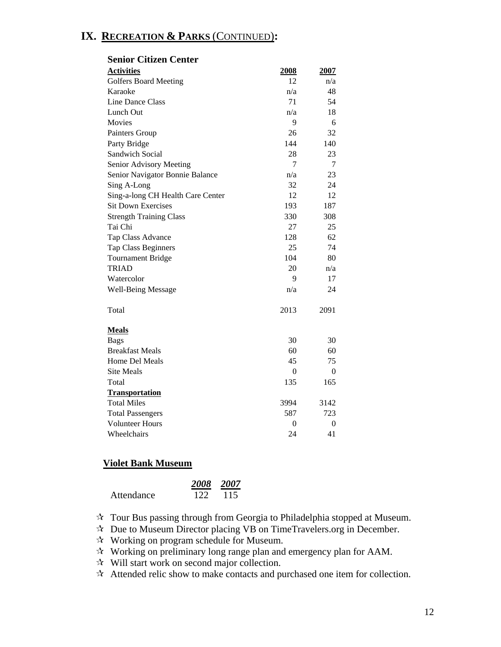# **IX. RECREATION & PARKS** (CONTINUED)**:**

| ətindi Unizeli Center             |                |                |
|-----------------------------------|----------------|----------------|
| <b>Activities</b>                 | 2008           | 2007           |
| <b>Golfers Board Meeting</b>      | 12             | n/a            |
| Karaoke                           | n/a            | 48             |
| Line Dance Class                  | 71             | 54             |
| Lunch Out                         | n/a            | 18             |
| Movies                            | 9              | 6              |
| Painters Group                    | 26             | 32             |
| Party Bridge                      | 144            | 140            |
| Sandwich Social                   | 28             | 23             |
| Senior Advisory Meeting           | 7              | 7              |
| Senior Navigator Bonnie Balance   | n/a            | 23             |
| Sing A-Long                       | 32             | 24             |
| Sing-a-long CH Health Care Center | 12             | 12             |
| <b>Sit Down Exercises</b>         | 193            | 187            |
| <b>Strength Training Class</b>    | 330            | 308            |
| Tai Chi                           | 27             | 25             |
| Tap Class Advance                 | 128            | 62             |
| Tap Class Beginners               | 25             | 74             |
| <b>Tournament Bridge</b>          | 104            | 80             |
| <b>TRIAD</b>                      | 20             | n/a            |
| Watercolor                        | 9              | 17             |
| <b>Well-Being Message</b>         | n/a            | 24             |
| Total                             | 2013           | 2091           |
| <b>Meals</b>                      |                |                |
| <b>Bags</b>                       | 30             | 30             |
| <b>Breakfast Meals</b>            | 60             | 60             |
| Home Del Meals                    | 45             | 75             |
| <b>Site Meals</b>                 | $\theta$       | $\theta$       |
| Total                             | 135            | 165            |
| <b>Transportation</b>             |                |                |
| <b>Total Miles</b>                | 3994           | 3142           |
| <b>Total Passengers</b>           | 587            | 723            |
| <b>Volunteer Hours</b>            | $\overline{0}$ | $\overline{0}$ |
| Wheelchairs                       | 24             | 41             |

#### **Senior Citizen Center**

#### **Violet Bank Museum**

|            |     | 2008 2007 |
|------------|-----|-----------|
| Attendance | 122 | 115       |

Tour Bus passing through from Georgia to Philadelphia stopped at Museum.

 $\lambda$  Due to Museum Director placing VB on TimeTravelers.org in December.

Working on program schedule for Museum.

Working on preliminary long range plan and emergency plan for AAM.

 $\hat{x}$  Will start work on second major collection.

 $\hat{X}$  Attended relic show to make contacts and purchased one item for collection.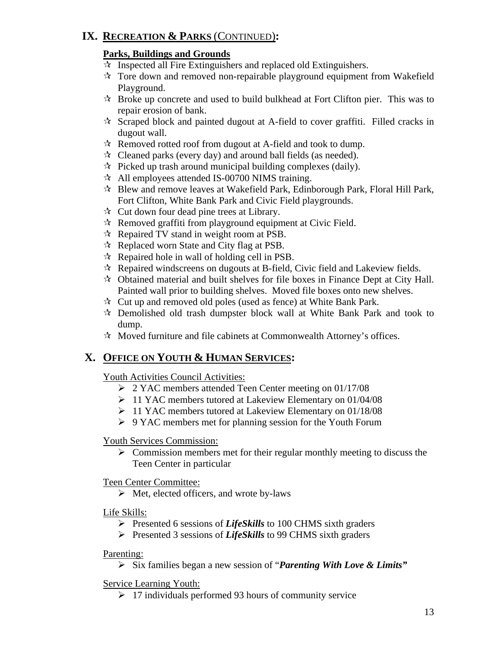# **IX. RECREATION & PARKS** (CONTINUED)**:**

# **Parks, Buildings and Grounds**

- $\mathcal{R}$  Inspected all Fire Extinguishers and replaced old Extinguishers.
- $\mathcal{R}$  Tore down and removed non-repairable playground equipment from Wakefield Playground.
- $\mathcal{R}$  Broke up concrete and used to build bulkhead at Fort Clifton pier. This was to repair erosion of bank.
- $\lambda$  Scraped block and painted dugout at A-field to cover graffiti. Filled cracks in dugout wall.
- $\mathcal{R}$  Removed rotted roof from dugout at A-field and took to dump.
- $\star$  Cleaned parks (every day) and around ball fields (as needed).
- $\hat{\mathcal{R}}$  Picked up trash around municipal building complexes (daily).
- $\lambda$  All employees attended IS-00700 NIMS training.
- Blew and remove leaves at Wakefield Park, Edinborough Park, Floral Hill Park, Fort Clifton, White Bank Park and Civic Field playgrounds.
- $\mathbf{\hat{x}}$  Cut down four dead pine trees at Library.
- $\mathcal{R}$  Removed graffiti from playground equipment at Civic Field.
- $\mathcal{R}$  Repaired TV stand in weight room at PSB.
- $\mathcal{R}$  Replaced worn State and City flag at PSB.
- $\mathcal{R}$  Repaired hole in wall of holding cell in PSB.
- $\mathcal{R}$  Repaired windscreens on dugouts at B-field, Civic field and Lakeview fields.
- $\star$  Obtained material and built shelves for file boxes in Finance Dept at City Hall. Painted wall prior to building shelves. Moved file boxes onto new shelves.
- $\hat{x}$  Cut up and removed old poles (used as fence) at White Bank Park.
- $\mathcal{R}$  Demolished old trash dumpster block wall at White Bank Park and took to dump.
- $\mathcal{R}$  Moved furniture and file cabinets at Commonwealth Attorney's offices.

# **X. OFFICE ON YOUTH & HUMAN SERVICES:**

# Youth Activities Council Activities:

- ¾ 2 YAC members attended Teen Center meeting on 01/17/08
- ¾ 11 YAC members tutored at Lakeview Elementary on 01/04/08
- ¾ 11 YAC members tutored at Lakeview Elementary on 01/18/08
- ¾ 9 YAC members met for planning session for the Youth Forum

### Youth Services Commission:

 $\triangleright$  Commission members met for their regular monthly meeting to discuss the Teen Center in particular

### Teen Center Committee:

 $\triangleright$  Met, elected officers, and wrote by-laws

### Life Skills:

- ¾ Presented 6 sessions of *LifeSkills* to 100 CHMS sixth graders
- ¾ Presented 3 sessions of *LifeSkills* to 99 CHMS sixth graders

### Parenting:

¾ Six families began a new session of "*Parenting With Love & Limits"* 

### Service Learning Youth:

 $\geq 17$  individuals performed 93 hours of community service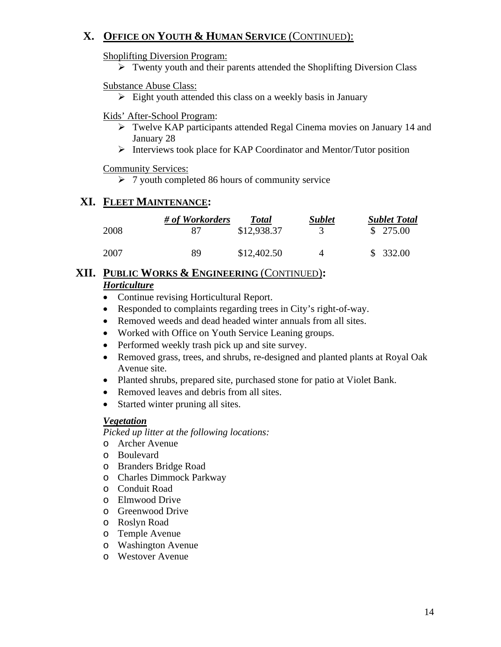# **X. OFFICE ON YOUTH & HUMAN SERVICE** (CONTINUED):

Shoplifting Diversion Program:

 $\triangleright$  Twenty youth and their parents attended the Shoplifting Diversion Class

### Substance Abuse Class:

 $\triangleright$  Eight youth attended this class on a weekly basis in January

### Kids' After-School Program:

- ¾ Twelve KAP participants attended Regal Cinema movies on January 14 and January 28
- ¾ Interviews took place for KAP Coordinator and Mentor/Tutor position

### Community Services:

 $\geq 7$  youth completed 86 hours of community service

# **XI. FLEET MAINTENANCE:**

|      | # of Workorders | <b>Total</b> | <b>Sublet</b> | <b>Sublet Total</b> |
|------|-----------------|--------------|---------------|---------------------|
| 2008 | 87              | \$12,938.37  |               | \$275.00            |
| 2007 | 89              | \$12,402.50  | 4             | \$332.00            |

# **XII. PUBLIC WORKS & ENGINEERING** (CONTINUED)**:**

# *Horticulture*

- Continue revising Horticultural Report.
- Responded to complaints regarding trees in City's right-of-way.
- Removed weeds and dead headed winter annuals from all sites.
- Worked with Office on Youth Service Leaning groups.
- Performed weekly trash pick up and site survey.
- Removed grass, trees, and shrubs, re-designed and planted plants at Royal Oak Avenue site.
- Planted shrubs, prepared site, purchased stone for patio at Violet Bank.
- Removed leaves and debris from all sites.
- Started winter pruning all sites.

### *Vegetation*

*Picked up litter at the following locations:* 

- o Archer Avenue
- o Boulevard
- o Branders Bridge Road
- o Charles Dimmock Parkway
- o Conduit Road
- o Elmwood Drive
- o Greenwood Drive
- o Roslyn Road
- o Temple Avenue
- o Washington Avenue
- o Westover Avenue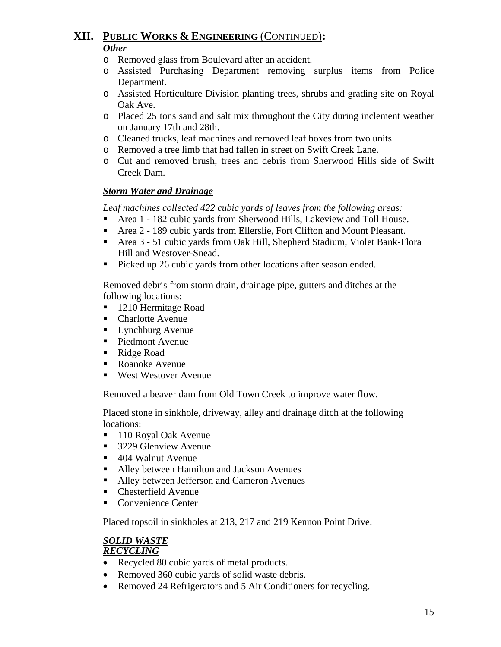# **XII. PUBLIC WORKS & ENGINEERING** (CONTINUED)**:** *Other*

- o Removed glass from Boulevard after an accident.
- o Assisted Purchasing Department removing surplus items from Police Department.
- o Assisted Horticulture Division planting trees, shrubs and grading site on Royal Oak Ave.
- o Placed 25 tons sand and salt mix throughout the City during inclement weather on January 17th and 28th.
- o Cleaned trucks, leaf machines and removed leaf boxes from two units.
- o Removed a tree limb that had fallen in street on Swift Creek Lane.
- o Cut and removed brush, trees and debris from Sherwood Hills side of Swift Creek Dam.

### *Storm Water and Drainage*

 *Leaf machines collected 422 cubic yards of leaves from the following areas:* 

- Area 1 182 cubic yards from Sherwood Hills, Lakeview and Toll House.
- Area 2 189 cubic yards from Ellerslie, Fort Clifton and Mount Pleasant.
- Area 3 51 cubic yards from Oak Hill, Shepherd Stadium, Violet Bank-Flora Hill and Westover-Snead.
- Picked up 26 cubic yards from other locations after season ended.

Removed debris from storm drain, drainage pipe, gutters and ditches at the following locations:

- 1210 Hermitage Road
- Charlotte Avenue
- Lynchburg Avenue
- Piedmont Avenue
- Ridge Road
- Roanoke Avenue
- West Westover Avenue

Removed a beaver dam from Old Town Creek to improve water flow.

Placed stone in sinkhole, driveway, alley and drainage ditch at the following locations:

- 110 Royal Oak Avenue
- 3229 Glenview Avenue
- 404 Walnut Avenue
- Alley between Hamilton and Jackson Avenues
- Alley between Jefferson and Cameron Avenues
- Chesterfield Avenue
- Convenience Center

Placed topsoil in sinkholes at 213, 217 and 219 Kennon Point Drive.

#### *SOLID WASTE RECYCLING*

- Recycled 80 cubic yards of metal products.
- Removed 360 cubic yards of solid waste debris.
- Removed 24 Refrigerators and 5 Air Conditioners for recycling.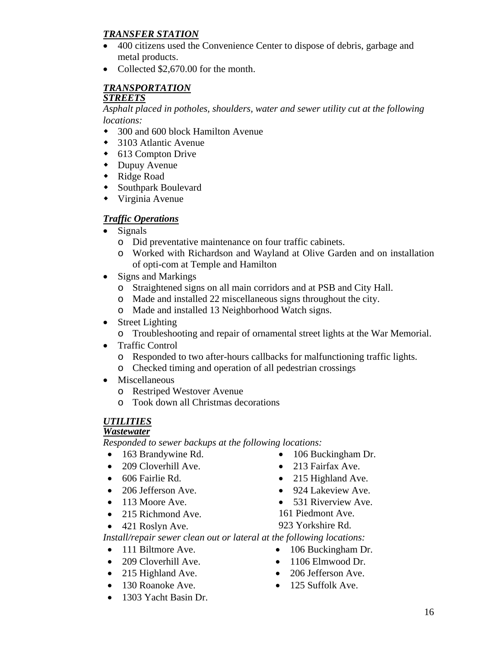# *TRANSFER STATION*

- 400 citizens used the Convenience Center to dispose of debris, garbage and metal products.
- Collected \$2,670,00 for the month.

### *TRANSPORTATION STREETS*

*Asphalt placed in potholes, shoulders, water and sewer utility cut at the following locations:* 

- 300 and 600 block Hamilton Avenue
- 3103 Atlantic Avenue
- ◆ 613 Compton Drive
- Dupuy Avenue
- Ridge Road
- Southpark Boulevard
- Virginia Avenue

# *Traffic Operations*

- Signals
	- o Did preventative maintenance on four traffic cabinets.
	- o Worked with Richardson and Wayland at Olive Garden and on installation of opti-com at Temple and Hamilton
- Signs and Markings
	- o Straightened signs on all main corridors and at PSB and City Hall.
	- o Made and installed 22 miscellaneous signs throughout the city.
	- o Made and installed 13 Neighborhood Watch signs.
- Street Lighting

o Troubleshooting and repair of ornamental street lights at the War Memorial.

- Traffic Control
	- o Responded to two after-hours callbacks for malfunctioning traffic lights.
	- o Checked timing and operation of all pedestrian crossings
- Miscellaneous
	- o Restriped Westover Avenue
	- o Took down all Christmas decorations

# *UTILITIES*

# *Wastewater*

*Responded to sewer backups at the following locations:* 

- 
- 209 Cloverhill Ave. 213 Fairfax Ave.
- 
- 
- 
- 215 Richmond Ave. 161 Piedmont Ave.
- 421 Roslyn Ave. 923 Yorkshire Rd.
- 163 Brandywine Rd. 106 Buckingham Dr.
	-
- 606 Fairlie Rd. 215 Highland Ave.
- 206 Jefferson Ave. 924 Lakeview Ave.
- 113 Moore Ave. 531 Riverview Ave.
	-

*Install/repair sewer clean out or lateral at the following locations:* 

- 111 Biltmore Ave. 106 Buckingham Dr.
- 209 Cloverhill Ave. 1106 Elmwood Dr.
- 215 Highland Ave. 206 Jefferson Ave.
- 
- 130 Roanoke Ave. 125 Suffolk Ave.
- 1303 Yacht Basin Dr.

16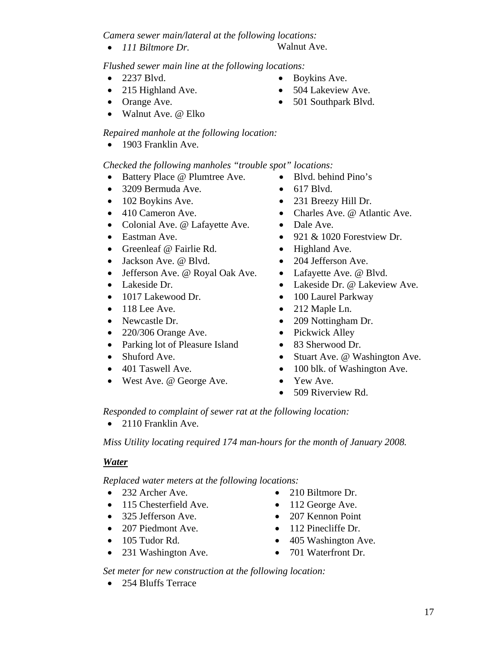*Camera sewer main/lateral at the following locations:* 

• *111 Biltmore Dr.* Walnut Ave.

*Flushed sewer main line at the following locations:* 

- 
- 215 Highland Ave. 504 Lakeview Ave.
- 
- Walnut Ave. @ Elko

# *Repaired manhole at the following location:*

• 1903 Franklin Ave.

# *Checked the following manholes "trouble spot" locations:*

- Battery Place @ Plumtree Ave. Blvd. behind Pino's
- 3209 Bermuda Ave.
- 102 Boykins Ave.
- 410 Cameron Ave.
- Colonial Ave. @ Lafayette Ave.
- Eastman Ave.
- Greenleaf @ Fairlie Rd.
- Jackson Ave. @ Blvd.
- Jefferson Ave. @ Royal Oak Ave.
- Lakeside Dr.
- 1017 Lakewood Dr.
- $\bullet$  118 Lee Ave.
- Newcastle Dr.
- 220/306 Orange Ave.
- Parking lot of Pleasure Island
- Shuford Ave.
- 401 Taswell Ave.
- West Ave. @ George Ave.
- 
- 617 Blvd.
- 231 Breezy Hill Dr.
- Charles Ave. @ Atlantic Ave.
- Dale Ave.
- 921 & 1020 Forestview Dr.
- Highland Ave.
- 204 Jefferson Ave.
- Lafayette Ave. @ Blvd.
- Lakeside Dr. @ Lakeview Ave.
- 100 Laurel Parkway
- 212 Maple Ln.
- 209 Nottingham Dr.
- Pickwick Alley
- 83 Sherwood Dr.
- Stuart Ave. @ Washington Ave.
- 100 blk. of Washington Ave.
- Yew Ave.
- 509 Riverview Rd.

*Responded to complaint of sewer rat at the following location:* 

• 2110 Franklin Ave.

*Miss Utility locating required 174 man-hours for the month of January 2008.* 

# *Water*

*Replaced water meters at the following locations:* 

- 
- 115 Chesterfield Ave. 112 George Ave.
- 325 Jefferson Ave. 207 Kennon Point
- 207 Piedmont Ave. 112 Pinecliffe Dr.
- 
- 231 Washington Ave. 701 Waterfront Dr.
- 232 Archer Ave. 210 Biltmore Dr.
	-
	-
	-
- 105 Tudor Rd. 405 Washington Ave.
	-

*Set meter for new construction at the following location:* 

• 254 Bluffs Terrace

- 2237 Blvd. Boykins Ave.
	-
- Orange Ave. 501 Southpark Blvd.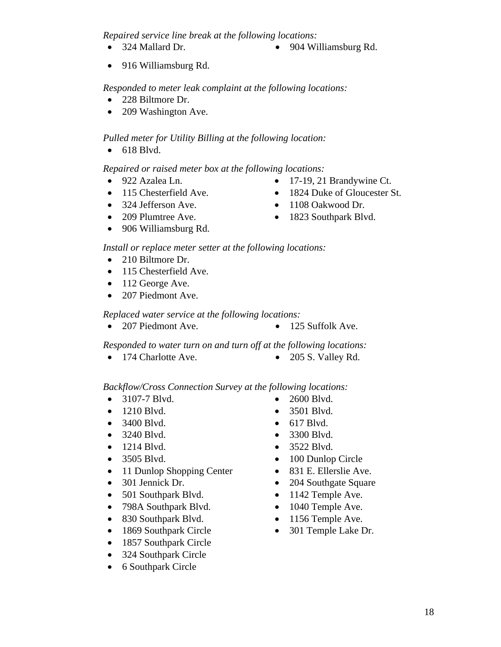*Repaired service line break at the following locations:* 

- 324 Mallard Dr. 904 Williamsburg Rd.
- 916 Williamsburg Rd.

### *Responded to meter leak complaint at the following locations:*

- 228 Biltmore Dr.
- 209 Washington Ave.

### *Pulled meter for Utility Billing at the following location:*

• 618 Blvd.

### *Repaired or raised meter box at the following locations:*

- -
- 324 Jefferson Ave. 1108 Oakwood Dr.
- 
- 906 Williamsburg Rd.
- 922 Azalea Ln. 17-19, 21 Brandywine Ct.
- 115 Chesterfield Ave. 1824 Duke of Gloucester St.
	-
- 209 Plumtree Ave. 1823 Southpark Blvd.

# *Install or replace meter setter at the following locations:*

- 210 Biltmore Dr.
- 115 Chesterfield Ave.
- 112 George Ave.
- 207 Piedmont Ave.

### *Replaced water service at the following locations:*

• 207 Piedmont Ave. • 125 Suffolk Ave.

*Responded to water turn on and turn off at the following locations:* 

• 174 Charlotte Ave. • 205 S. Valley Rd.

### *Backflow/Cross Connection Survey at the following locations:*

- 3107-7 Blvd. 2600 Blvd.
- 1210 Blvd. 3501 Blvd.
- 3400 Blvd. 617 Blvd.
- 3240 Blvd. 3300 Blvd.
- 1214 Blvd. 3522 Blvd.
- 
- 11 Dunlop Shopping Center 831 E. Ellerslie Ave.
- 
- 501 Southpark Blvd.
- 798A Southpark Blvd.
- 830 Southpark Blvd.
- 1869 Southpark Circle
- 1857 Southpark Circle
- 324 Southpark Circle
- 6 Southpark Circle
- 
- 
- 
- 
- 
- 3505 Blvd. 100 Dunlop Circle
	-
- 301 Jennick Dr. 204 Southgate Square
	- 1142 Temple Ave.
	- 1040 Temple Ave.
	- 1156 Temple Ave.
	- 301 Temple Lake Dr.